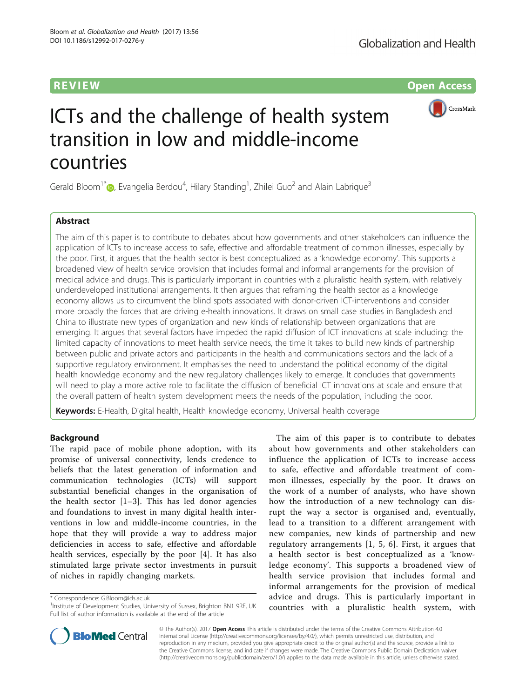**REVIEW CONSTRUCTION CONSTRUCTION CONSTRUCTS** 



# ICTs and the challenge of health system transition in low and middle-income countries

Gerald Bloom<sup>1\*</sup> D, Evangelia Berdou<sup>4</sup>, Hilary Standing<sup>1</sup>, Zhilei Guo<sup>2</sup> and Alain Labrique<sup>3</sup>

## Abstract

The aim of this paper is to contribute to debates about how governments and other stakeholders can influence the application of ICTs to increase access to safe, effective and affordable treatment of common illnesses, especially by the poor. First, it argues that the health sector is best conceptualized as a 'knowledge economy'. This supports a broadened view of health service provision that includes formal and informal arrangements for the provision of medical advice and drugs. This is particularly important in countries with a pluralistic health system, with relatively underdeveloped institutional arrangements. It then argues that reframing the health sector as a knowledge economy allows us to circumvent the blind spots associated with donor-driven ICT-interventions and consider more broadly the forces that are driving e-health innovations. It draws on small case studies in Bangladesh and China to illustrate new types of organization and new kinds of relationship between organizations that are emerging. It argues that several factors have impeded the rapid diffusion of ICT innovations at scale including: the limited capacity of innovations to meet health service needs, the time it takes to build new kinds of partnership between public and private actors and participants in the health and communications sectors and the lack of a supportive regulatory environment. It emphasises the need to understand the political economy of the digital health knowledge economy and the new regulatory challenges likely to emerge. It concludes that governments will need to play a more active role to facilitate the diffusion of beneficial ICT innovations at scale and ensure that the overall pattern of health system development meets the needs of the population, including the poor.

Keywords: E-Health, Digital health, Health knowledge economy, Universal health coverage

## Background

The rapid pace of mobile phone adoption, with its promise of universal connectivity, lends credence to beliefs that the latest generation of information and communication technologies (ICTs) will support substantial beneficial changes in the organisation of the health sector  $[1-3]$  $[1-3]$  $[1-3]$  $[1-3]$ . This has led donor agencies and foundations to invest in many digital health interventions in low and middle-income countries, in the hope that they will provide a way to address major deficiencies in access to safe, effective and affordable health services, especially by the poor [[4\]](#page-8-0). It has also stimulated large private sector investments in pursuit of niches in rapidly changing markets.

\* Correspondence: [G.Bloom@ids.ac.uk](mailto:G.Bloom@ids.ac.uk) <sup>1</sup>

The aim of this paper is to contribute to debates about how governments and other stakeholders can influence the application of ICTs to increase access to safe, effective and affordable treatment of common illnesses, especially by the poor. It draws on the work of a number of analysts, who have shown how the introduction of a new technology can disrupt the way a sector is organised and, eventually, lead to a transition to a different arrangement with new companies, new kinds of partnership and new regulatory arrangements [\[1](#page-8-0), [5, 6](#page-8-0)]. First, it argues that a health sector is best conceptualized as a 'knowledge economy'. This supports a broadened view of health service provision that includes formal and informal arrangements for the provision of medical advice and drugs. This is particularly important in countries with a pluralistic health system, with



© The Author(s). 2017 **Open Access** This article is distributed under the terms of the Creative Commons Attribution 4.0 International License [\(http://creativecommons.org/licenses/by/4.0/](http://creativecommons.org/licenses/by/4.0/)), which permits unrestricted use, distribution, and reproduction in any medium, provided you give appropriate credit to the original author(s) and the source, provide a link to the Creative Commons license, and indicate if changes were made. The Creative Commons Public Domain Dedication waiver [\(http://creativecommons.org/publicdomain/zero/1.0/](http://creativecommons.org/publicdomain/zero/1.0/)) applies to the data made available in this article, unless otherwise stated.

<sup>&</sup>lt;sup>1</sup>Institute of Development Studies, University of Sussex, Brighton BN1 9RE, UK Full list of author information is available at the end of the article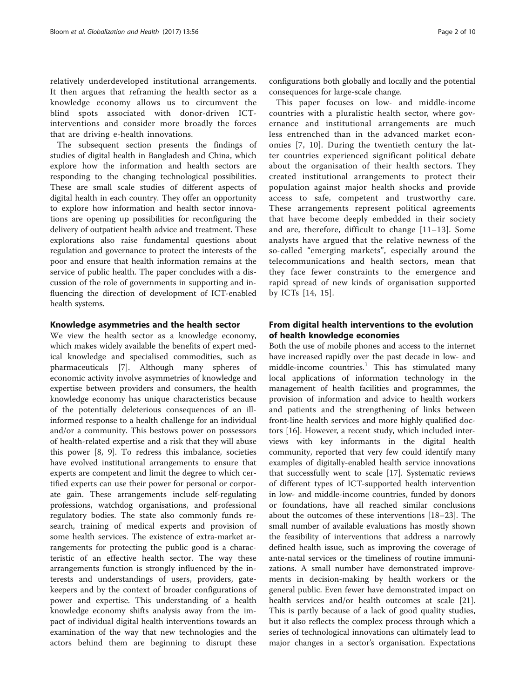relatively underdeveloped institutional arrangements. It then argues that reframing the health sector as a knowledge economy allows us to circumvent the blind spots associated with donor-driven ICTinterventions and consider more broadly the forces that are driving e-health innovations.

The subsequent section presents the findings of studies of digital health in Bangladesh and China, which explore how the information and health sectors are responding to the changing technological possibilities. These are small scale studies of different aspects of digital health in each country. They offer an opportunity to explore how information and health sector innovations are opening up possibilities for reconfiguring the delivery of outpatient health advice and treatment. These explorations also raise fundamental questions about regulation and governance to protect the interests of the poor and ensure that health information remains at the service of public health. The paper concludes with a discussion of the role of governments in supporting and influencing the direction of development of ICT-enabled health systems.

## Knowledge asymmetries and the health sector

We view the health sector as a knowledge economy, which makes widely available the benefits of expert medical knowledge and specialised commodities, such as pharmaceuticals [\[7\]](#page-8-0). Although many spheres of economic activity involve asymmetries of knowledge and expertise between providers and consumers, the health knowledge economy has unique characteristics because of the potentially deleterious consequences of an illinformed response to a health challenge for an individual and/or a community. This bestows power on possessors of health-related expertise and a risk that they will abuse this power [[8, 9\]](#page-8-0). To redress this imbalance, societies have evolved institutional arrangements to ensure that experts are competent and limit the degree to which certified experts can use their power for personal or corporate gain. These arrangements include self-regulating professions, watchdog organisations, and professional regulatory bodies. The state also commonly funds research, training of medical experts and provision of some health services. The existence of extra-market arrangements for protecting the public good is a characteristic of an effective health sector. The way these arrangements function is strongly influenced by the interests and understandings of users, providers, gatekeepers and by the context of broader configurations of power and expertise. This understanding of a health knowledge economy shifts analysis away from the impact of individual digital health interventions towards an examination of the way that new technologies and the actors behind them are beginning to disrupt these

configurations both globally and locally and the potential consequences for large-scale change.

This paper focuses on low- and middle-income countries with a pluralistic health sector, where governance and institutional arrangements are much less entrenched than in the advanced market economies [[7](#page-8-0), [10](#page-8-0)]. During the twentieth century the latter countries experienced significant political debate about the organisation of their health sectors. They created institutional arrangements to protect their population against major health shocks and provide access to safe, competent and trustworthy care. These arrangements represent political agreements that have become deeply embedded in their society and are, therefore, difficult to change [[11](#page-8-0)–[13](#page-8-0)]. Some analysts have argued that the relative newness of the so-called "emerging markets", especially around the telecommunications and health sectors, mean that they face fewer constraints to the emergence and rapid spread of new kinds of organisation supported by ICTs [[14](#page-8-0), [15\]](#page-8-0).

## From digital health interventions to the evolution of health knowledge economies

Both the use of mobile phones and access to the internet have increased rapidly over the past decade in low- and middle-income countries.<sup>1</sup> This has stimulated many local applications of information technology in the management of health facilities and programmes, the provision of information and advice to health workers and patients and the strengthening of links between front-line health services and more highly qualified doctors [[16\]](#page-8-0). However, a recent study, which included interviews with key informants in the digital health community, reported that very few could identify many examples of digitally-enabled health service innovations that successfully went to scale [[17\]](#page-8-0). Systematic reviews of different types of ICT-supported health intervention in low- and middle-income countries, funded by donors or foundations, have all reached similar conclusions about the outcomes of these interventions [[18](#page-8-0)–[23](#page-8-0)]. The small number of available evaluations has mostly shown the feasibility of interventions that address a narrowly defined health issue, such as improving the coverage of ante-natal services or the timeliness of routine immunizations. A small number have demonstrated improvements in decision-making by health workers or the general public. Even fewer have demonstrated impact on health services and/or health outcomes at scale [\[21](#page-8-0)]. This is partly because of a lack of good quality studies, but it also reflects the complex process through which a series of technological innovations can ultimately lead to major changes in a sector's organisation. Expectations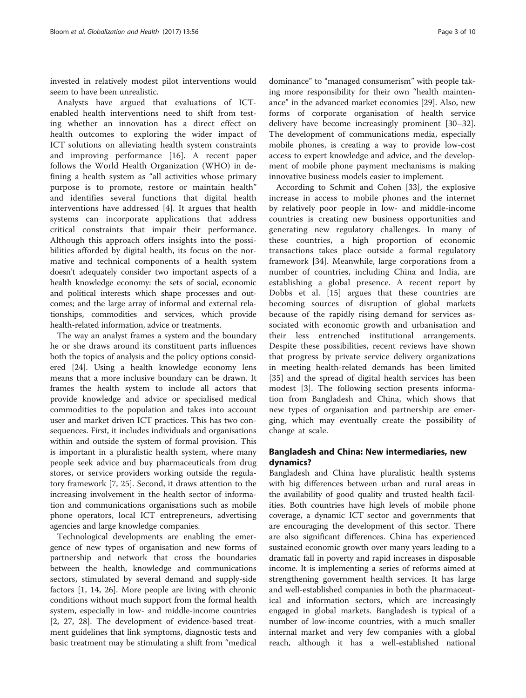invested in relatively modest pilot interventions would seem to have been unrealistic.

Analysts have argued that evaluations of ICTenabled health interventions need to shift from testing whether an innovation has a direct effect on health outcomes to exploring the wider impact of ICT solutions on alleviating health system constraints and improving performance [[16\]](#page-8-0). A recent paper follows the World Health Organization (WHO) in defining a health system as "all activities whose primary purpose is to promote, restore or maintain health" and identifies several functions that digital health interventions have addressed [[4\]](#page-8-0). It argues that health systems can incorporate applications that address critical constraints that impair their performance. Although this approach offers insights into the possibilities afforded by digital health, its focus on the normative and technical components of a health system doesn't adequately consider two important aspects of a health knowledge economy: the sets of social, economic and political interests which shape processes and outcomes; and the large array of informal and external relationships, commodities and services, which provide health-related information, advice or treatments.

The way an analyst frames a system and the boundary he or she draws around its constituent parts influences both the topics of analysis and the policy options considered [\[24](#page-8-0)]. Using a health knowledge economy lens means that a more inclusive boundary can be drawn. It frames the health system to include all actors that provide knowledge and advice or specialised medical commodities to the population and takes into account user and market driven ICT practices. This has two consequences. First, it includes individuals and organisations within and outside the system of formal provision. This is important in a pluralistic health system, where many people seek advice and buy pharmaceuticals from drug stores, or service providers working outside the regulatory framework [[7, 25\]](#page-8-0). Second, it draws attention to the increasing involvement in the health sector of information and communications organisations such as mobile phone operators, local ICT entrepreneurs, advertising agencies and large knowledge companies.

Technological developments are enabling the emergence of new types of organisation and new forms of partnership and network that cross the boundaries between the health, knowledge and communications sectors, stimulated by several demand and supply-side factors [\[1](#page-8-0), [14](#page-8-0), [26](#page-8-0)]. More people are living with chronic conditions without much support from the formal health system, especially in low- and middle-income countries [[2, 27, 28\]](#page-8-0). The development of evidence-based treatment guidelines that link symptoms, diagnostic tests and basic treatment may be stimulating a shift from "medical

dominance" to "managed consumerism" with people taking more responsibility for their own "health maintenance" in the advanced market economies [[29\]](#page-8-0). Also, new forms of corporate organisation of health service delivery have become increasingly prominent [[30](#page-8-0)–[32](#page-8-0)]. The development of communications media, especially mobile phones, is creating a way to provide low-cost access to expert knowledge and advice, and the development of mobile phone payment mechanisms is making innovative business models easier to implement.

According to Schmit and Cohen [[33\]](#page-8-0), the explosive increase in access to mobile phones and the internet by relatively poor people in low- and middle-income countries is creating new business opportunities and generating new regulatory challenges. In many of these countries, a high proportion of economic transactions takes place outside a formal regulatory framework [[34\]](#page-8-0). Meanwhile, large corporations from a number of countries, including China and India, are establishing a global presence. A recent report by Dobbs et al. [\[15](#page-8-0)] argues that these countries are becoming sources of disruption of global markets because of the rapidly rising demand for services associated with economic growth and urbanisation and their less entrenched institutional arrangements. Despite these possibilities, recent reviews have shown that progress by private service delivery organizations in meeting health-related demands has been limited [[35\]](#page-8-0) and the spread of digital health services has been modest [[3](#page-8-0)]. The following section presents information from Bangladesh and China, which shows that new types of organisation and partnership are emerging, which may eventually create the possibility of change at scale.

## Bangladesh and China: New intermediaries, new dynamics?

Bangladesh and China have pluralistic health systems with big differences between urban and rural areas in the availability of good quality and trusted health facilities. Both countries have high levels of mobile phone coverage, a dynamic ICT sector and governments that are encouraging the development of this sector. There are also significant differences. China has experienced sustained economic growth over many years leading to a dramatic fall in poverty and rapid increases in disposable income. It is implementing a series of reforms aimed at strengthening government health services. It has large and well-established companies in both the pharmaceutical and information sectors, which are increasingly engaged in global markets. Bangladesh is typical of a number of low-income countries, with a much smaller internal market and very few companies with a global reach, although it has a well-established national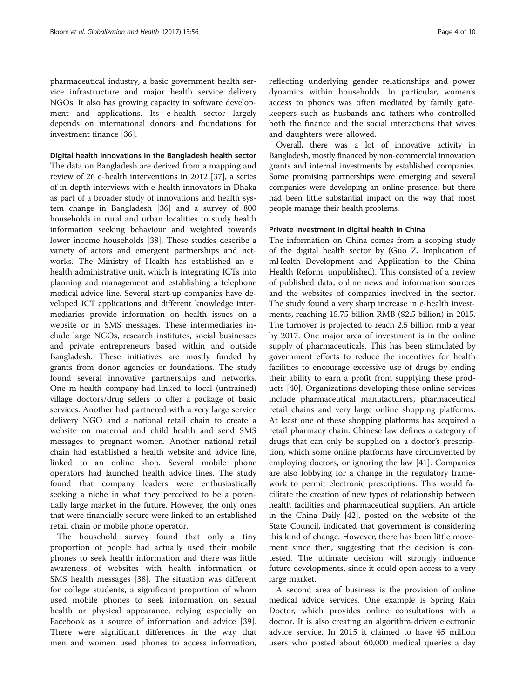pharmaceutical industry, a basic government health service infrastructure and major health service delivery NGOs. It also has growing capacity in software development and applications. Its e-health sector largely depends on international donors and foundations for investment finance [\[36\]](#page-8-0).

Digital health innovations in the Bangladesh health sector The data on Bangladesh are derived from a mapping and review of 26 e-health interventions in 2012 [[37\]](#page-8-0), a series of in-depth interviews with e-health innovators in Dhaka as part of a broader study of innovations and health system change in Bangladesh [[36\]](#page-8-0) and a survey of 800 households in rural and urban localities to study health information seeking behaviour and weighted towards lower income households [[38\]](#page-8-0). These studies describe a variety of actors and emergent partnerships and networks. The Ministry of Health has established an ehealth administrative unit, which is integrating ICTs into planning and management and establishing a telephone medical advice line. Several start-up companies have developed ICT applications and different knowledge intermediaries provide information on health issues on a website or in SMS messages. These intermediaries include large NGOs, research institutes, social businesses and private entrepreneurs based within and outside Bangladesh. These initiatives are mostly funded by grants from donor agencies or foundations. The study found several innovative partnerships and networks. One m-health company had linked to local (untrained) village doctors/drug sellers to offer a package of basic services. Another had partnered with a very large service delivery NGO and a national retail chain to create a website on maternal and child health and send SMS messages to pregnant women. Another national retail chain had established a health website and advice line, linked to an online shop. Several mobile phone operators had launched health advice lines. The study found that company leaders were enthusiastically seeking a niche in what they perceived to be a potentially large market in the future. However, the only ones that were financially secure were linked to an established retail chain or mobile phone operator.

The household survey found that only a tiny proportion of people had actually used their mobile phones to seek health information and there was little awareness of websites with health information or SMS health messages [\[38](#page-8-0)]. The situation was different for college students, a significant proportion of whom used mobile phones to seek information on sexual health or physical appearance, relying especially on Facebook as a source of information and advice [\[39](#page-8-0)]. There were significant differences in the way that men and women used phones to access information,

reflecting underlying gender relationships and power dynamics within households. In particular, women's access to phones was often mediated by family gatekeepers such as husbands and fathers who controlled both the finance and the social interactions that wives and daughters were allowed.

Overall, there was a lot of innovative activity in Bangladesh, mostly financed by non-commercial innovation grants and internal investments by established companies. Some promising partnerships were emerging and several companies were developing an online presence, but there had been little substantial impact on the way that most people manage their health problems.

## Private investment in digital health in China

The information on China comes from a scoping study of the digital health sector by (Guo Z. Implication of mHealth Development and Application to the China Health Reform, unpublished). This consisted of a review of published data, online news and information sources and the websites of companies involved in the sector. The study found a very sharp increase in e-health investments, reaching 15.75 billion RMB (\$2.5 billion) in 2015. The turnover is projected to reach 2.5 billion rmb a year by 2017. One major area of investment is in the online supply of pharmaceuticals. This has been stimulated by government efforts to reduce the incentives for health facilities to encourage excessive use of drugs by ending their ability to earn a profit from supplying these products [[40\]](#page-8-0). Organizations developing these online services include pharmaceutical manufacturers, pharmaceutical retail chains and very large online shopping platforms. At least one of these shopping platforms has acquired a retail pharmacy chain. Chinese law defines a category of drugs that can only be supplied on a doctor's prescription, which some online platforms have circumvented by employing doctors, or ignoring the law [\[41\]](#page-8-0). Companies are also lobbying for a change in the regulatory framework to permit electronic prescriptions. This would facilitate the creation of new types of relationship between health facilities and pharmaceutical suppliers. An article in the China Daily [\[42](#page-8-0)], posted on the website of the State Council, indicated that government is considering this kind of change. However, there has been little movement since then, suggesting that the decision is contested. The ultimate decision will strongly influence future developments, since it could open access to a very large market.

A second area of business is the provision of online medical advice services. One example is Spring Rain Doctor, which provides online consultations with a doctor. It is also creating an algorithm-driven electronic advice service. In 2015 it claimed to have 45 million users who posted about 60,000 medical queries a day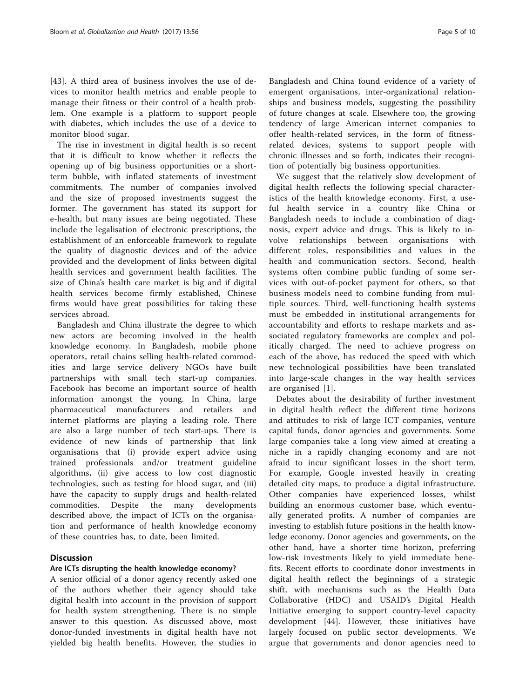[[43\]](#page-8-0). A third area of business involves the use of devices to monitor health metrics and enable people to manage their fitness or their control of a health problem. One example is a platform to support people with diabetes, which includes the use of a device to monitor blood sugar.

The rise in investment in digital health is so recent that it is difficult to know whether it reflects the opening up of big business opportunities or a shortterm bubble, with inflated statements of investment commitments. The number of companies involved and the size of proposed investments suggest the former. The government has stated its support for e-health, but many issues are being negotiated. These include the legalisation of electronic prescriptions, the establishment of an enforceable framework to regulate the quality of diagnostic devices and of the advice provided and the development of links between digital health services and government health facilities. The size of China's health care market is big and if digital health services become firmly established, Chinese firms would have great possibilities for taking these services abroad.

Bangladesh and China illustrate the degree to which new actors are becoming involved in the health knowledge economy. In Bangladesh, mobile phone operators, retail chains selling health-related commodities and large service delivery NGOs have built partnerships with small tech start-up companies. Facebook has become an important source of health information amongst the young. In China, large pharmaceutical manufacturers and retailers and internet platforms are playing a leading role. There are also a large number of tech start-ups. There is evidence of new kinds of partnership that link organisations that (i) provide expert advice using trained professionals and/or treatment guideline algorithms, (ii) give access to low cost diagnostic technologies, such as testing for blood sugar, and (iii) have the capacity to supply drugs and health-related commodities. Despite the many developments described above, the impact of ICTs on the organisation and performance of health knowledge economy of these countries has, to date, been limited.

## **Discussion**

## Are ICTs disrupting the health knowledge economy?

A senior official of a donor agency recently asked one of the authors whether their agency should take digital health into account in the provision of support for health system strengthening. There is no simple answer to this question. As discussed above, most donor-funded investments in digital health have not yielded big health benefits. However, the studies in

Bangladesh and China found evidence of a variety of emergent organisations, inter-organizational relationships and business models, suggesting the possibility of future changes at scale. Elsewhere too, the growing tendency of large American internet companies to offer health-related services, in the form of fitnessrelated devices, systems to support people with chronic illnesses and so forth, indicates their recognition of potentially big business opportunities.

We suggest that the relatively slow development of digital health reflects the following special characteristics of the health knowledge economy. First, a useful health service in a country like China or Bangladesh needs to include a combination of diagnosis, expert advice and drugs. This is likely to involve relationships between organisations with different roles, responsibilities and values in the health and communication sectors. Second, health systems often combine public funding of some services with out-of-pocket payment for others, so that business models need to combine funding from multiple sources. Third, well-functioning health systems must be embedded in institutional arrangements for accountability and efforts to reshape markets and associated regulatory frameworks are complex and politically charged. The need to achieve progress on each of the above, has reduced the speed with which new technological possibilities have been translated into large-scale changes in the way health services are organised [\[1\]](#page-8-0).

Debates about the desirability of further investment in digital health reflect the different time horizons and attitudes to risk of large ICT companies, venture capital funds, donor agencies and governments. Some large companies take a long view aimed at creating a niche in a rapidly changing economy and are not afraid to incur significant losses in the short term. For example, Google invested heavily in creating detailed city maps, to produce a digital infrastructure. Other companies have experienced losses, whilst building an enormous customer base, which eventually generated profits. A number of companies are investing to establish future positions in the health knowledge economy. Donor agencies and governments, on the other hand, have a shorter time horizon, preferring low-risk investments likely to yield immediate benefits. Recent efforts to coordinate donor investments in digital health reflect the beginnings of a strategic shift, with mechanisms such as the Health Data Collaborative (HDC) and USAID's Digital Health Initiative emerging to support country-level capacity development [[44](#page-8-0)]. However, these initiatives have largely focused on public sector developments. We argue that governments and donor agencies need to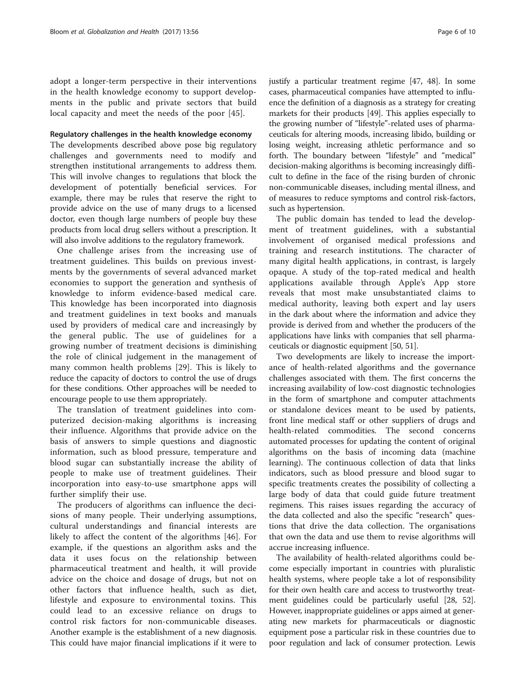adopt a longer-term perspective in their interventions in the health knowledge economy to support developments in the public and private sectors that build local capacity and meet the needs of the poor [[45\]](#page-8-0).

## Regulatory challenges in the health knowledge economy

The developments described above pose big regulatory challenges and governments need to modify and strengthen institutional arrangements to address them. This will involve changes to regulations that block the development of potentially beneficial services. For example, there may be rules that reserve the right to provide advice on the use of many drugs to a licensed doctor, even though large numbers of people buy these products from local drug sellers without a prescription. It will also involve additions to the regulatory framework.

One challenge arises from the increasing use of treatment guidelines. This builds on previous investments by the governments of several advanced market economies to support the generation and synthesis of knowledge to inform evidence-based medical care. This knowledge has been incorporated into diagnosis and treatment guidelines in text books and manuals used by providers of medical care and increasingly by the general public. The use of guidelines for a growing number of treatment decisions is diminishing the role of clinical judgement in the management of many common health problems [[29\]](#page-8-0). This is likely to reduce the capacity of doctors to control the use of drugs for these conditions. Other approaches will be needed to encourage people to use them appropriately.

The translation of treatment guidelines into computerized decision-making algorithms is increasing their influence. Algorithms that provide advice on the basis of answers to simple questions and diagnostic information, such as blood pressure, temperature and blood sugar can substantially increase the ability of people to make use of treatment guidelines. Their incorporation into easy-to-use smartphone apps will further simplify their use.

The producers of algorithms can influence the decisions of many people. Their underlying assumptions, cultural understandings and financial interests are likely to affect the content of the algorithms [[46\]](#page-8-0). For example, if the questions an algorithm asks and the data it uses focus on the relationship between pharmaceutical treatment and health, it will provide advice on the choice and dosage of drugs, but not on other factors that influence health, such as diet, lifestyle and exposure to environmental toxins. This could lead to an excessive reliance on drugs to control risk factors for non-communicable diseases. Another example is the establishment of a new diagnosis. This could have major financial implications if it were to justify a particular treatment regime [[47, 48](#page-8-0)]. In some cases, pharmaceutical companies have attempted to influence the definition of a diagnosis as a strategy for creating markets for their products [[49](#page-8-0)]. This applies especially to the growing number of "lifestyle"-related uses of pharmaceuticals for altering moods, increasing libido, building or losing weight, increasing athletic performance and so forth. The boundary between "lifestyle" and "medical" decision-making algorithms is becoming increasingly difficult to define in the face of the rising burden of chronic non-communicable diseases, including mental illness, and of measures to reduce symptoms and control risk-factors,

The public domain has tended to lead the development of treatment guidelines, with a substantial involvement of organised medical professions and training and research institutions. The character of many digital health applications, in contrast, is largely opaque. A study of the top-rated medical and health applications available through Apple's App store reveals that most make unsubstantiated claims to medical authority, leaving both expert and lay users in the dark about where the information and advice they provide is derived from and whether the producers of the applications have links with companies that sell pharmaceuticals or diagnostic equipment [[50](#page-8-0), [51\]](#page-8-0).

such as hypertension.

Two developments are likely to increase the importance of health-related algorithms and the governance challenges associated with them. The first concerns the increasing availability of low-cost diagnostic technologies in the form of smartphone and computer attachments or standalone devices meant to be used by patients, front line medical staff or other suppliers of drugs and health-related commodities. The second concerns automated processes for updating the content of original algorithms on the basis of incoming data (machine learning). The continuous collection of data that links indicators, such as blood pressure and blood sugar to specific treatments creates the possibility of collecting a large body of data that could guide future treatment regimens. This raises issues regarding the accuracy of the data collected and also the specific "research" questions that drive the data collection. The organisations that own the data and use them to revise algorithms will accrue increasing influence.

The availability of health-related algorithms could become especially important in countries with pluralistic health systems, where people take a lot of responsibility for their own health care and access to trustworthy treatment guidelines could be particularly useful [[28,](#page-8-0) [52](#page-9-0)]. However, inappropriate guidelines or apps aimed at generating new markets for pharmaceuticals or diagnostic equipment pose a particular risk in these countries due to poor regulation and lack of consumer protection. Lewis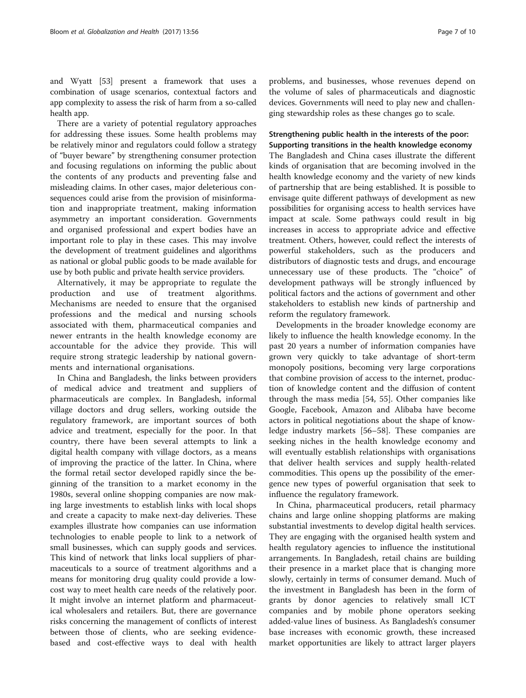and Wyatt [\[53\]](#page-9-0) present a framework that uses a combination of usage scenarios, contextual factors and app complexity to assess the risk of harm from a so-called health app.

There are a variety of potential regulatory approaches for addressing these issues. Some health problems may be relatively minor and regulators could follow a strategy of "buyer beware" by strengthening consumer protection and focusing regulations on informing the public about the contents of any products and preventing false and misleading claims. In other cases, major deleterious consequences could arise from the provision of misinformation and inappropriate treatment, making information asymmetry an important consideration. Governments and organised professional and expert bodies have an important role to play in these cases. This may involve the development of treatment guidelines and algorithms as national or global public goods to be made available for use by both public and private health service providers.

Alternatively, it may be appropriate to regulate the production and use of treatment algorithms. Mechanisms are needed to ensure that the organised professions and the medical and nursing schools associated with them, pharmaceutical companies and newer entrants in the health knowledge economy are accountable for the advice they provide. This will require strong strategic leadership by national governments and international organisations.

In China and Bangladesh, the links between providers of medical advice and treatment and suppliers of pharmaceuticals are complex. In Bangladesh, informal village doctors and drug sellers, working outside the regulatory framework, are important sources of both advice and treatment, especially for the poor. In that country, there have been several attempts to link a digital health company with village doctors, as a means of improving the practice of the latter. In China, where the formal retail sector developed rapidly since the beginning of the transition to a market economy in the 1980s, several online shopping companies are now making large investments to establish links with local shops and create a capacity to make next-day deliveries. These examples illustrate how companies can use information technologies to enable people to link to a network of small businesses, which can supply goods and services. This kind of network that links local suppliers of pharmaceuticals to a source of treatment algorithms and a means for monitoring drug quality could provide a lowcost way to meet health care needs of the relatively poor. It might involve an internet platform and pharmaceutical wholesalers and retailers. But, there are governance risks concerning the management of conflicts of interest between those of clients, who are seeking evidencebased and cost-effective ways to deal with health problems, and businesses, whose revenues depend on the volume of sales of pharmaceuticals and diagnostic devices. Governments will need to play new and challenging stewardship roles as these changes go to scale.

## Strengthening public health in the interests of the poor:

Supporting transitions in the health knowledge economy The Bangladesh and China cases illustrate the different kinds of organisation that are becoming involved in the health knowledge economy and the variety of new kinds of partnership that are being established. It is possible to envisage quite different pathways of development as new possibilities for organising access to health services have impact at scale. Some pathways could result in big increases in access to appropriate advice and effective treatment. Others, however, could reflect the interests of powerful stakeholders, such as the producers and distributors of diagnostic tests and drugs, and encourage unnecessary use of these products. The "choice" of development pathways will be strongly influenced by political factors and the actions of government and other stakeholders to establish new kinds of partnership and reform the regulatory framework.

Developments in the broader knowledge economy are likely to influence the health knowledge economy. In the past 20 years a number of information companies have grown very quickly to take advantage of short-term monopoly positions, becoming very large corporations that combine provision of access to the internet, production of knowledge content and the diffusion of content through the mass media [[54, 55\]](#page-9-0). Other companies like Google, Facebook, Amazon and Alibaba have become actors in political negotiations about the shape of knowledge industry markets [\[56](#page-9-0)–[58\]](#page-9-0). These companies are seeking niches in the health knowledge economy and will eventually establish relationships with organisations that deliver health services and supply health-related commodities. This opens up the possibility of the emergence new types of powerful organisation that seek to influence the regulatory framework.

In China, pharmaceutical producers, retail pharmacy chains and large online shopping platforms are making substantial investments to develop digital health services. They are engaging with the organised health system and health regulatory agencies to influence the institutional arrangements. In Bangladesh, retail chains are building their presence in a market place that is changing more slowly, certainly in terms of consumer demand. Much of the investment in Bangladesh has been in the form of grants by donor agencies to relatively small ICT companies and by mobile phone operators seeking added-value lines of business. As Bangladesh's consumer base increases with economic growth, these increased market opportunities are likely to attract larger players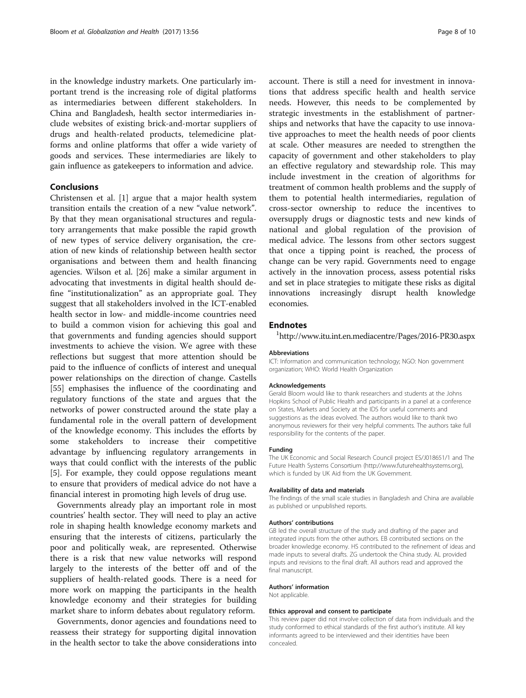in the knowledge industry markets. One particularly important trend is the increasing role of digital platforms as intermediaries between different stakeholders. In China and Bangladesh, health sector intermediaries include websites of existing brick-and-mortar suppliers of drugs and health-related products, telemedicine platforms and online platforms that offer a wide variety of goods and services. These intermediaries are likely to gain influence as gatekeepers to information and advice.

## Conclusions

Christensen et al. [[1\]](#page-8-0) argue that a major health system transition entails the creation of a new "value network". By that they mean organisational structures and regulatory arrangements that make possible the rapid growth of new types of service delivery organisation, the creation of new kinds of relationship between health sector organisations and between them and health financing agencies. Wilson et al. [\[26](#page-8-0)] make a similar argument in advocating that investments in digital health should define "institutionalization" as an appropriate goal. They suggest that all stakeholders involved in the ICT-enabled health sector in low- and middle-income countries need to build a common vision for achieving this goal and that governments and funding agencies should support investments to achieve the vision. We agree with these reflections but suggest that more attention should be paid to the influence of conflicts of interest and unequal power relationships on the direction of change. Castells [[55\]](#page-9-0) emphasises the influence of the coordinating and regulatory functions of the state and argues that the networks of power constructed around the state play a fundamental role in the overall pattern of development of the knowledge economy. This includes the efforts by some stakeholders to increase their competitive advantage by influencing regulatory arrangements in ways that could conflict with the interests of the public [[5\]](#page-8-0). For example, they could oppose regulations meant to ensure that providers of medical advice do not have a financial interest in promoting high levels of drug use.

Governments already play an important role in most countries' health sector. They will need to play an active role in shaping health knowledge economy markets and ensuring that the interests of citizens, particularly the poor and politically weak, are represented. Otherwise there is a risk that new value networks will respond largely to the interests of the better off and of the suppliers of health-related goods. There is a need for more work on mapping the participants in the health knowledge economy and their strategies for building market share to inform debates about regulatory reform.

Governments, donor agencies and foundations need to reassess their strategy for supporting digital innovation in the health sector to take the above considerations into account. There is still a need for investment in innovations that address specific health and health service needs. However, this needs to be complemented by strategic investments in the establishment of partnerships and networks that have the capacity to use innovative approaches to meet the health needs of poor clients at scale. Other measures are needed to strengthen the capacity of government and other stakeholders to play an effective regulatory and stewardship role. This may include investment in the creation of algorithms for treatment of common health problems and the supply of them to potential health intermediaries, regulation of cross-sector ownership to reduce the incentives to oversupply drugs or diagnostic tests and new kinds of national and global regulation of the provision of medical advice. The lessons from other sectors suggest that once a tipping point is reached, the process of change can be very rapid. Governments need to engage actively in the innovation process, assess potential risks and set in place strategies to mitigate these risks as digital innovations increasingly disrupt health knowledge economies.

#### **Endnotes**

<http://www.itu.int.en.mediacentre/Pages/2016-PR30.aspx>

#### Abbreviations

ICT: Information and communication technology; NGO: Non government organization; WHO: World Health Organization

#### Acknowledgements

Gerald Bloom would like to thank researchers and students at the Johns Hopkins School of Public Health and participants in a panel at a conference on States, Markets and Society at the IDS for useful comments and suggestions as the ideas evolved. The authors would like to thank two anonymous reviewers for their very helpful comments. The authors take full responsibility for the contents of the paper.

#### Funding

The UK Economic and Social Research Council project ES/J018651/1 and The Future Health Systems Consortium ([http://www.futurehealthsystems.org\)](http://www.futurehealthsystems.org), which is funded by UK Aid from the UK Government.

#### Availability of data and materials

The findings of the small scale studies in Bangladesh and China are available as published or unpublished reports.

#### Authors' contributions

GB led the overall structure of the study and drafting of the paper and integrated inputs from the other authors. EB contributed sections on the broader knowledge economy. HS contributed to the refinement of ideas and made inputs to several drafts. ZG undertook the China study. AL provided inputs and revisions to the final draft. All authors read and approved the final manuscript.

#### Authors' information

Not applicable.

#### Ethics approval and consent to participate

This review paper did not involve collection of data from individuals and the study conformed to ethical standards of the first author's institute. All key informants agreed to be interviewed and their identities have been concealed.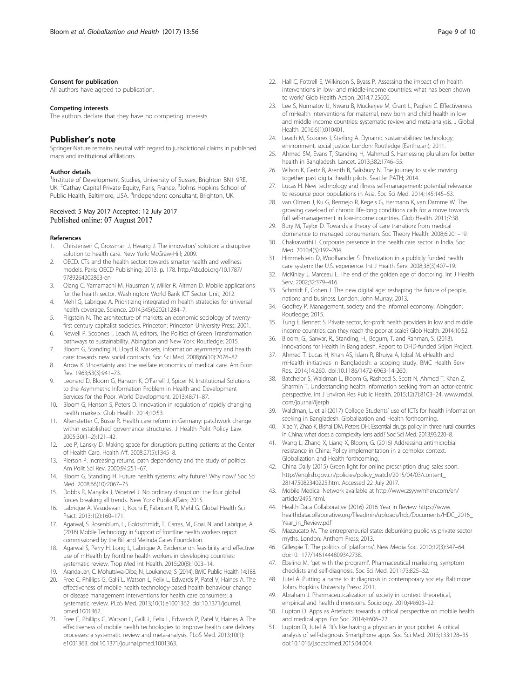### <span id="page-8-0"></span>Consent for publication

All authors have agreed to publication.

#### Competing interests

The authors declare that they have no competing interests.

## Publisher's note

Springer Nature remains neutral with regard to jurisdictional claims in published maps and institutional affiliations.

#### Author details

<sup>1</sup>Institute of Development Studies, University of Sussex, Brighton BN1 9RE, UK. <sup>2</sup>Cathay Capital Private Equity, Paris, France. <sup>3</sup>Johns Hopkins School of Public Health, Baltimore, USA. <sup>4</sup>Independent consultant, Brighton, UK.

### Received: 5 May 2017 Accepted: 12 July 2017 Published online: 07 August 2017

#### References

- 1. Christensen C, Grossman J, Hwang J. The innovators' solution: a disruptive solution to health care. New York: McGraw-Hill; 2009.
- 2. OECD. CTs and the health sector: towards smarter health and wellness models. Paris: OECD Publishing; 2013. p. 178. [http://dx.doi.org/10.1787/](http://dx.doi.org/10.1787/9789264202863-en) [9789264202863-en](http://dx.doi.org/10.1787/9789264202863-en)
- 3. Qiang C, Yamamachi M, Hausman V, Miller R, Altman D. Mobile applications for the health sector. Washington: World Bank ICT Sector Unit; 2012.
- 4. Mehl G, Labrique A. Prioritizing integrated m health strategies for universal health coverage. Science. 2014;345(6202):1284–7.
- 5. Fligstein N. The architecture of markets: an economic sociology of twentyfirst century capitalist societies. Princeton: Princeton University Press; 2001.
- 6. Newell P, Scoones I, Leach M, editors. The Politics of Green Transformation pathways to sustainability. Abingdon and New York: Routledge; 2015.
- 7. Bloom G, Standing H, Lloyd R. Markets, information asymmetry and health care: towards new social contracts. Soc Sci Med. 2008;66(10):2076–87.
- 8. Arrow K. Uncertainty and the welfare economics of medical care. Am Econ Rev. 1963;53(3):941–73.
- 9. Leonard D, Bloom G, Hanson K, O'Farrell J, Spicer N. Institutional Solutions to the Asymmetric Information Problem in Health and Development Services for the Poor. World Development. 2013;48:71–87.
- 10. Bloom G, Henson S, Peters D. Innovation in regulation of rapidly changing health markets. Glob Health. 2014;10:53.
- 11. Altenstetter C, Busse R. Health care reform in Germany: patchwork change within established governance structures. J Health Polit Policy Law. 2005;30(1–2):121–42.
- 12. Lee P, Lansky D. Making space for disruption: putting patients at the Center of Health Care. Health Aff. 2008;27(5):1345–8.
- 13. Pierson P. Increasing returns, path dependency and the study of politics. Am Polit Sci Rev. 2000;94:251–67.
- 14. Bloom G, Standing H. Future health systems: why future? Why now? Soc Sci Med. 2008;66(10):2067–75.
- 15. Dobbs R, Manyika J, Woetzel J. No ordinary disruption: the four global forces breaking all trends. New York: PublicAffairs; 2015.
- 16. Labrique A, Vasudevan L, Kochi E, Fabricant R, Mehl G. Global Health Sci Pract. 2013;1(2):160–171.
- 17. Agarwal, S. Rosenblum, L., Goldschmidt, T., Carras, M., Goal, N. and Labrique, A. (2016) Mobile Technology in Support of frontline health workers report commissioned by the Bill and Melinda Gates Foundation.
- 18. Agarwal S, Perry H, Long L, Labrique A. Evidence on feasibility and effective use of mHealth by frontline health workers in developing countries: systematic review. Trop Med Int Health. 2015;20(8):1003–14.
- 19. Aranda-Jan, C. Mohutsiwa-Dibe, N., Loukanova, S (2014). BMC Public Health 14:188.
- 20. Free C, Phillips G, Galli L, Watson L, Felix L, Edwards P, Patel V, Haines A. The effectiveness of mobile health technology-based health behaviour change or disease management interventions for health care consumers: a systematic review. PLoS Med. 2013;10(1):e1001362. doi[:10.1371/journal.](http://dx.doi.org/10.1371/journal.pmed.1001362) [pmed.1001362.](http://dx.doi.org/10.1371/journal.pmed.1001362)
- 21. Free C, Phillips G, Watson L, Galli L, Felix L, Edwards P, Patel V, Haines A. The effectiveness of mobile health technologies to improve health care delivery processes: a systematic review and meta-analysis. PLoS Med. 2013;10(1): e1001363. doi:[10.1371/journal.pmed.1001363](http://dx.doi.org/10.1371/journal.pmed.1001363).
- 22. Hall C, Fottrell E, Wilkinson S, Byass P. Assessing the impact of m health interventions in low- and middle-income countries: what has been shown to work? Glob Health Action. 2014;7:25606.
- 23. Lee S, Nurmatov U, Nwaru B, Muckerjee M, Grant L, Pagliari C. Effectiveness of mHealth interventions for maternal, new born and child health in low and middle income countries: systematic review and meta-analysis. J Global Health. 2016;6(1):010401.
- 24. Leach M, Scoones I, Sterling A. Dynamic sustainabilities: technology, environment, social justice. London: Routledge (Earthscan); 2011.
- 25. Ahmed SM, Evans T, Standing H, Mahmud S. Harnessing pluralism for better health in Bangladesh. Lancet. 2013;382:1746–55.
- 26. Wilson K, Gertz B, Arenth B, Salisbury N. The journey to scale: moving together past digital health pilots. Seattle: PATH; 2014.
- 27. Lucas H. New technology and illness self-management: potential relevance to resource poor populations in Asia. Soc Sci Med. 2014;145:145–53.
- 28. van Olmen J, Ku G, Bermejo R, Kegels G, Hermann K, van Damme W. The growing caseload of chronic life-long conditions calls for a move towards full self-management in low-income countries. Glob Health. 2011;7:38.
- 29. Bury M, Taylor D. Towards a theory of care transition: from medical dominance to managed consumerism. Soc Theory Health. 2008;6:201–19.
- 30. Chakravarthi I. Corporate presence in the health care sector in India. Soc Med. 2010;4(5):192–204.
- 31. Himmelstein D, Woolhandler S. Privatization in a publicly funded health care system: the U.S. experience. Int J Health Serv. 2008;38(3):407–19.
- 32. McKinlay J, Marceau L. The end of the golden age of doctoring. Int J Health Serv. 2002;32:379–416.
- 33. Schmidt E, Cohen J. The new digital age: reshaping the future of people, nations and business. London: John Murray; 2013.
- 34. Godfrey P. Management, society and the informal economy. Abingdon: Routledge; 2015.
- 35. Tung E, Bennett S. Private sector, for-profit health providers in low and middle income countries: can they reach the poor at scale? Glob Health. 2014;10:52.
- 36. Bloom, G., Sarwar, R., Standing, H., Begum, T. and Rahman, S. (2013). Innovations for Health in Bangladesh. Report to DFID-funded Srijon Project.
- 37. Ahmed T, Lucas H, Khan AS, Islam R, Bhuiya A, Iqbal M. eHealth and mHealth initiatives in Bangladesh: a scoping study. BMC Health Serv Res. 2014;14:260. doi:[10.1186/1472-6963-14-260](http://dx.doi.org/10.1186/1472-6963-14-260).
- 38. Batchelor S, Waldman L, Bloom G, Rasheed S, Scott N, Ahmed T, Khan Z, Sharmin T. Understanding health information seeking from an actor-centric perspective. Int J Environ Res Public Health. 2015;12(7):8103–24. [www.mdpi.](http://www.mdpi.com/journal/ijerph) [com/journal/ijerph](http://www.mdpi.com/journal/ijerph)
- 39. Waldman, L. et al (2017) College Students' use of ICTs for health information seeking in Bangladesh. Globalization and Health forthcoming.
- 40. Xiao Y, Zhao K, Bishai DM, Peters DH. Essential drugs policy in three rural counties in China: what does a complexity lens add? Soc Sci Med. 2013;93:220–8.
- 41. Wang L, Zhang X, Liang X, Bloom, G. (2016) Addressing antimicrobial resistance in China: Policy implementation in a complex context. Globalization and Health forthcoming.
- 42. China Daily (2015) Green light for online prescription drug sales soon. [http://english.gov.cn/policies/policy\\_watch/2015/04/03/content\\_](http://english.gov.cn/policies/policy_watch/2015/04/03/content_281475082340225.htm) [281475082340225.htm.](http://english.gov.cn/policies/policy_watch/2015/04/03/content_281475082340225.htm) Accessed 22 July 2017.
- 43. Mobile Medical Network available at [http://www.zsyywmhen.com/en/](http://www.zsyywmhen.com/en/article/2495.html) [article/2495.html](http://www.zsyywmhen.com/en/article/2495.html).
- 44. Health Data Collaborative (2016) 2016 Year in Review https://www. healthdatacollaborative.org/fileadmin/uploads/hdc/Documents/HDC\_2016\_ Year\_in\_Review.pdf
- 45. Mazzucato M. The entrepreneurial state: debunking public vs private sector myths. London: Anthem Press; 2013.
- 46. Gillespie T. The politics of 'platforms'. New Media Soc. 2010;12(3):347–64. doi[:10.1177/1461444809342738.](http://dx.doi.org/10.1177/1461444809342738)
- 47. Ebeling M. 'get with the program!'. Pharmaceutical marketing, symptom checklists and self-diagnosis. Soc Sci Med. 2011;73:825–32.
- 48. Jutel A. Putting a name to it: diagnosis in contemporary society. Baltimore: Johns Hopkins University Press; 2011.
- 49. Abraham J. Pharmaceuticalization of society in context: theoretical, empirical and health dimensions. Sociology. 2010;44:603–22.
- 50. Lupton D. Apps as Artefacts: towards a critical perspective on mobile health and medical apps. For Soc. 2014;4:606–22.
- 51. Lupton D, Jutel A. 'It's like having a physician in your pocket! A critical analysis of self-diagnosis Smartphone apps. Soc Sci Med. 2015;133:128–35. doi[:10.1016/j.socscimed.2015.04.004.](http://dx.doi.org/10.1016/j.socscimed.2015.04.004)